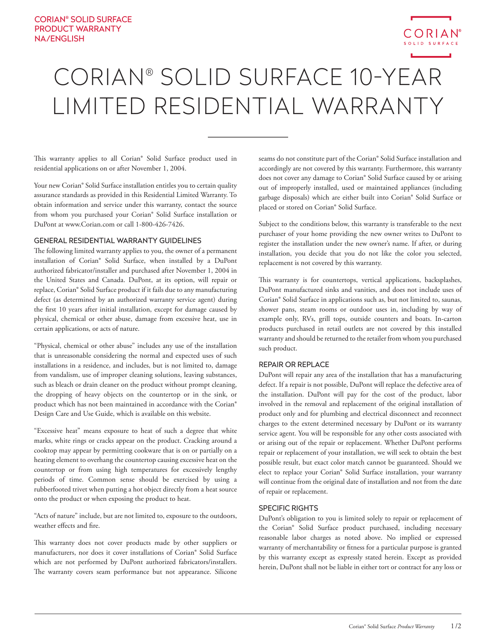

# CORIAN® SOLID SURFACE 10-YEAR LIMITED RESIDENTIAL WARRANTY

This warranty applies to all Corian® Solid Surface product used in residential applications on or after November 1, 2004.

Your new Corian® Solid Surface installation entitles you to certain quality assurance standards as provided in this Residential Limited Warranty. To obtain information and service under this warranty, contact the source from whom you purchased your Corian® Solid Surface installation or DuPont at www.Corian.com or call 1-800-426-7426.

### GENERAL RESIDENTIAL WARRANTY GUIDELINES

The following limited warranty applies to you, the owner of a permanent installation of Corian® Solid Surface, when installed by a DuPont authorized fabricator/installer and purchased after November 1, 2004 in the United States and Canada. DuPont, at its option, will repair or replace, Corian® Solid Surface product if it fails due to any manufacturing defect (as determined by an authorized warranty service agent) during the first 10 years after initial installation, except for damage caused by physical, chemical or other abuse, damage from excessive heat, use in certain applications, or acts of nature.

"Physical, chemical or other abuse" includes any use of the installation that is unreasonable considering the normal and expected uses of such installations in a residence, and includes, but is not limited to, damage from vandalism, use of improper cleaning solutions, leaving substances, such as bleach or drain cleaner on the product without prompt cleaning, the dropping of heavy objects on the countertop or in the sink, or product which has not been maintained in accordance with the Corian® Design Care and Use Guide, which is available on this website.

"Excessive heat" means exposure to heat of such a degree that white marks, white rings or cracks appear on the product. Cracking around a cooktop may appear by permitting cookware that is on or partially on a heating element to overhang the countertop causing excessive heat on the countertop or from using high temperatures for excessively lengthy periods of time. Common sense should be exercised by using a rubberfooted trivet when putting a hot object directly from a heat source onto the product or when exposing the product to heat.

"Acts of nature" include, but are not limited to, exposure to the outdoors, weather effects and fire.

This warranty does not cover products made by other suppliers or manufacturers, nor does it cover installations of Corian® Solid Surface which are not performed by DuPont authorized fabricators/installers. The warranty covers seam performance but not appearance. Silicone seams do not constitute part of the Corian® Solid Surface installation and accordingly are not covered by this warranty. Furthermore, this warranty does not cover any damage to Corian® Solid Surface caused by or arising out of improperly installed, used or maintained appliances (including garbage disposals) which are either built into Corian® Solid Surface or placed or stored on Corian® Solid Surface.

Subject to the conditions below, this warranty is transferable to the next purchaser of your home providing the new owner writes to DuPont to register the installation under the new owner's name. If after, or during installation, you decide that you do not like the color you selected, replacement is not covered by this warranty.

This warranty is for countertops, vertical applications, backsplashes, DuPont manufactured sinks and vanities, and does not include uses of Corian® Solid Surface in applications such as, but not limited to, saunas, shower pans, steam rooms or outdoor uses in, including by way of example only, RVs, grill tops, outside counters and boats. In-carton products purchased in retail outlets are not covered by this installed warranty and should be returned to the retailer from whom you purchased such product.

### REPAIR OR REPLACE

DuPont will repair any area of the installation that has a manufacturing defect. If a repair is not possible, DuPont will replace the defective area of the installation. DuPont will pay for the cost of the product, labor involved in the removal and replacement of the original installation of product only and for plumbing and electrical disconnect and reconnect charges to the extent determined necessary by DuPont or its warranty service agent. You will be responsible for any other costs associated with or arising out of the repair or replacement. Whether DuPont performs repair or replacement of your installation, we will seek to obtain the best possible result, but exact color match cannot be guaranteed. Should we elect to replace your Corian® Solid Surface installation, your warranty will continue from the original date of installation and not from the date of repair or replacement.

## SPECIFIC RIGHTS

DuPont's obligation to you is limited solely to repair or replacement of the Corian® Solid Surface product purchased, including necessary reasonable labor charges as noted above. No implied or expressed warranty of merchantability or fitness for a particular purpose is granted by this warranty except as expressly stated herein. Except as provided herein, DuPont shall not be liable in either tort or contract for any loss or